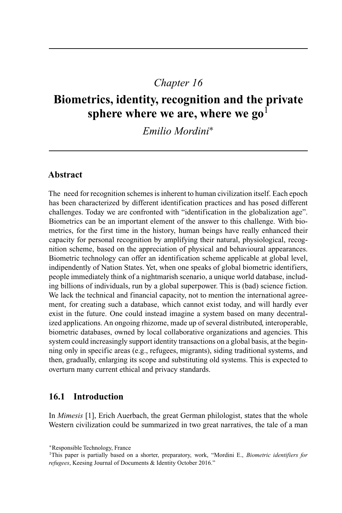## *Chapter 16*

# **Biometrics, identity, recognition and the private sphere where we are, where we go**<sup>1</sup>

*Emilio Mordini*<sup>∗</sup>

#### **Abstract**

The need for recognition schemes is inherent to human civilization itself. Each epoch has been characterized by different identification practices and has posed different challenges. Today we are confronted with "identification in the globalization age". Biometrics can be an important element of the answer to this challenge. With biometrics, for the first time in the history, human beings have really enhanced their capacity for personal recognition by amplifying their natural, physiological, recognition scheme, based on the appreciation of physical and behavioural appearances. Biometric technology can offer an identification scheme applicable at global level, indipendently of Nation States. Yet, when one speaks of global biometric identifiers, people immediately think of a nightmarish scenario, a unique world database, including billions of individuals, run by a global superpower. This is (bad) science fiction. We lack the technical and financial capacity, not to mention the international agreement, for creating such a database, which cannot exist today, and will hardly ever exist in the future. One could instead imagine a system based on many decentralized applications. An ongoing rhizome, made up of several distributed, interoperable, biometric databases, owned by local collaborative organizations and agencies. This system could increasingly support identity transactions on a global basis, at the beginning only in specific areas (e.g., refugees, migrants), siding traditional systems, and then, gradually, enlarging its scope and substituting old systems. This is expected to overturn many current ethical and privacy standards.

## **16.1 Introduction**

In *Mimesis* [1], Erich Auerbach, the great German philologist, states that the whole Western civilization could be summarized in two great narratives, the tale of a man

<sup>∗</sup>Responsible Technology, France

<sup>1</sup> This paper is partially based on a shorter, preparatory, work, "Mordini E., *Biometric identifiers for refugees*, Keesing Journal of Documents & Identity October 2016."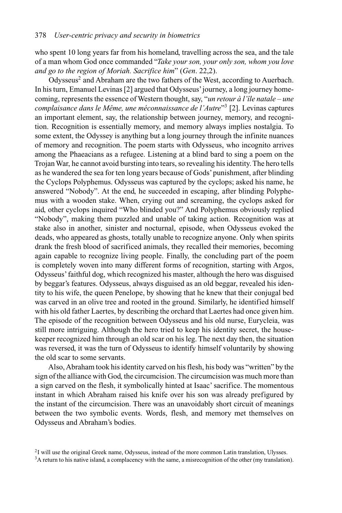who spent 10 long years far from his homeland, travelling across the sea, and the tale of a man whom God once commanded "*Take your son, your only son, whom you love and go to the region of Moriah. Sacrifice him*" (*Gen*. 22,2).

Odysseus<sup>2</sup> and Abraham are the two fathers of the West, according to Auerbach. In his turn, Emanuel Levinas [2] argued that Odysseus'journey, a long journey homecoming, represents the essence of Western thought, say, "*un retour à l'île natale – une complaisance dans le Même, une méconnaissance de l'Autre*"<sup>3</sup> [2]. Levinas captures an important element, say, the relationship between journey, memory, and recognition. Recognition is essentially memory, and memory always implies nostalgia. To some extent, the Odyssey is anything but a long journey through the infinite nuances of memory and recognition. The poem starts with Odysseus, who incognito arrives among the Phaeacians as a refugee. Listening at a blind bard to sing a poem on the TrojanWar, he cannot avoid bursting into tears, so revealing his identity. The hero tells as he wandered the sea for ten long years because of Gods' punishment, after blinding the Cyclops Polyphemus. Odysseus was captured by the cyclops; asked his name, he answered "Nobody". At the end, he succeeded in escaping, after blinding Polyphemus with a wooden stake. When, crying out and screaming, the cyclops asked for aid, other cyclops inquired "Who blinded you?" And Polyphemus obviously replied "Nobody", making them puzzled and unable of taking action. Recognition was at stake also in another, sinister and nocturnal, episode, when Odysseus evoked the deads, who appeared as ghosts, totally unable to recognize anyone. Only when spirits drank the fresh blood of sacrificed animals, they recalled their memories, becoming again capable to recognize living people. Finally, the concluding part of the poem is completely woven into many different forms of recognition, starting with Argos, Odysseus' faithful dog, which recognized his master, although the hero was disguised by beggar's features. Odysseus, always disguised as an old beggar, revealed his identity to his wife, the queen Penelope, by showing that he knew that their conjugal bed was carved in an olive tree and rooted in the ground. Similarly, he identified himself with his old father Laertes, by describing the orchard that Laertes had once given him. The episode of the recognition between Odysseus and his old nurse, Eurycleia, was still more intriguing. Although the hero tried to keep his identity secret, the housekeeper recognized him through an old scar on his leg. The next day then, the situation was reversed, it was the turn of Odysseus to identify himself voluntarily by showing the old scar to some servants.

Also, Abraham took his identity carved on his flesh, his body was "written" by the sign of the alliance with God, the circumcision. The circumcision was much more than a sign carved on the flesh, it symbolically hinted at Isaac' sacrifice. The momentous instant in which Abraham raised his knife over his son was already prefigured by the instant of the circumcision. There was an unavoidably short circuit of meanings between the two symbolic events. Words, flesh, and memory met themselves on Odysseus and Abraham's bodies.

<sup>2</sup>I will use the original Greek name, Odysseus, instead of the more common Latin translation, Ulysses.

<sup>&</sup>lt;sup>3</sup>A return to his native island, a complacency with the same, a misrecognition of the other (my translation).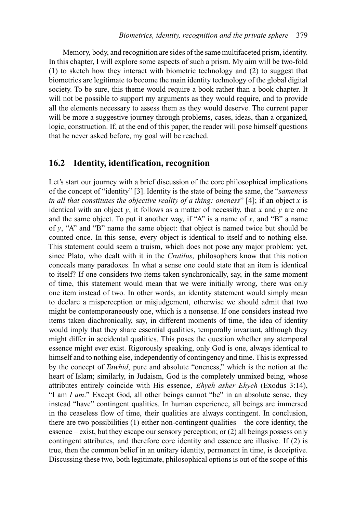Memory, body, and recognition are sides of the same multifaceted prism, identity. In this chapter, I will explore some aspects of such a prism. My aim will be two-fold (1) to sketch how they interact with biometric technology and (2) to suggest that biometrics are legitimate to become the main identity technology of the global digital society. To be sure, this theme would require a book rather than a book chapter. It will not be possible to support my arguments as they would require, and to provide all the elements necessary to assess them as they would deserve. The current paper will be more a suggestive journey through problems, cases, ideas, than a organized, logic, construction. If, at the end of this paper, the reader will pose himself questions that he never asked before, my goal will be reached.

#### **16.2 Identity, identification, recognition**

Let's start our journey with a brief discussion of the core philosophical implications of the concept of "identity" [3]. Identity is the state of being the same, the "*sameness in all that constitutes the objective reality of a thing: oneness*" [4]; if an object *x* is identical with an object  $y$ , it follows as a matter of necessity, that  $x$  and  $y$  are one and the same object. To put it another way, if "A" is a name of  $x$ , and "B" a name of *y*, "A" and "B" name the same object: that object is named twice but should be counted once. In this sense, every object is identical to itself and to nothing else. This statement could seem a truism, which does not pose any major problem: yet, since Plato, who dealt with it in the *Cratilus*, philosophers know that this notion conceals many paradoxes. In what a sense one could state that an item is identical to itself? If one considers two items taken synchronically, say, in the same moment of time, this statement would mean that we were initially wrong, there was only one item instead of two. In other words, an identity statement would simply mean to declare a misperception or misjudgement, otherwise we should admit that two might be contemporaneously one, which is a nonsense. If one considers instead two items taken diachronically, say, in different moments of time, the idea of identity would imply that they share essential qualities, temporally invariant, although they might differ in accidental qualities. This poses the question whether any atemporal essence might ever exist. Rigorously speaking, only God is one, always identical to himself and to nothing else, independently of contingency and time. This is expressed by the concept of *Tawhid*, pure and absolute "oneness," which is the notion at the heart of Islam; similarly, in Judaism, God is the completely unmixed being, whose attributes entirely coincide with His essence, *Ehyeh asher Ehyeh* (Exodus 3:14), "I am *I am*." Except God, all other beings cannot "be" in an absolute sense, they instead "have" contingent qualities. In human experience, all beings are immersed in the ceaseless flow of time, their qualities are always contingent. In conclusion, there are two possibilities (1) either non-contingent qualities – the core identity, the essence – exist, but they escape our sensory perception; or (2) all beings possess only contingent attributes, and therefore core identity and essence are illusive. If (2) is true, then the common belief in an unitary identity, permanent in time, is deceiptive. Discussing these two, both legitimate, philosophical options is out of the scope of this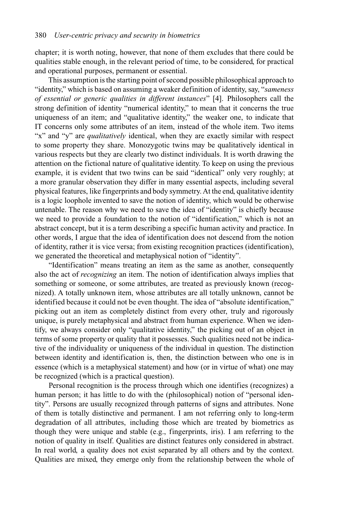chapter; it is worth noting, however, that none of them excludes that there could be qualities stable enough, in the relevant period of time, to be considered, for practical and operational purposes, permanent or essential.

This assumption is the starting point of second possible philosophical approach to "identity," which is based on assuming a weaker definition of identity, say, "*sameness of essential or generic qualities in different instances*" [4]. Philosophers call the strong definition of identity "numerical identity," to mean that it concerns the true uniqueness of an item; and "qualitative identity," the weaker one, to indicate that IT concerns only some attributes of an item, instead of the whole item. Two items "x" and "y" are *qualitatively* identical, when they are exactly similar with respect to some property they share. Monozygotic twins may be qualitatively identical in various respects but they are clearly two distinct individuals. It is worth drawing the attention on the fictional nature of qualitative identity. To keep on using the previous example, it is evident that two twins can be said "identical" only very roughly; at a more granular observation they differ in many essential aspects, including several physical features, like fingerprints and body symmetry. At the end, qualitative identity is a logic loophole invented to save the notion of identity, which would be otherwise untenable. The reason why we need to save the idea of "identity" is chiefly because we need to provide a foundation to the notion of "identification," which is not an abstract concept, but it is a term describing a specific human activity and practice. In other words, I argue that the idea of identification does not descend from the notion of identity, rather it is vice versa; from existing recognition practices (identification), we generated the theoretical and metaphysical notion of "identity".

"Identification" means treating an item as the same as another, consequently also the act of *recognizing* an item. The notion of identification always implies that something or someone, or some attributes, are treated as previously known (recognized). A totally unknown item, whose attributes are all totally unknown, cannot be identified because it could not be even thought. The idea of "absolute identification," picking out an item as completely distinct from every other, truly and rigorously unique, is purely metaphysical and abstract from human experience. When we identify, we always consider only "qualitative identity," the picking out of an object in terms of some property or quality that it possesses. Such qualities need not be indicative of the individuality or uniqueness of the individual in question. The distinction between identity and identification is, then, the distinction between who one is in essence (which is a metaphysical statement) and how (or in virtue of what) one may be recognized (which is a practical question).

Personal recognition is the process through which one identifies (recognizes) a human person; it has little to do with the (philosophical) notion of "personal identity". Persons are usually recognized through patterns of signs and attributes. None of them is totally distinctive and permanent. I am not referring only to long-term degradation of all attributes, including those which are treated by biometrics as though they were unique and stable (e.g., fingerprints, iris). I am referring to the notion of quality in itself. Qualities are distinct features only considered in abstract. In real world, a quality does not exist separated by all others and by the context. Qualities are mixed, they emerge only from the relationship between the whole of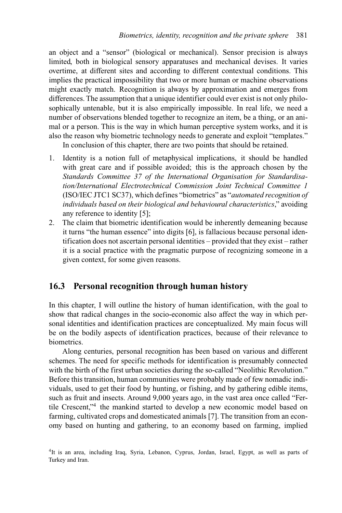an object and a "sensor" (biological or mechanical). Sensor precision is always limited, both in biological sensory apparatuses and mechanical devises. It varies overtime, at different sites and according to different contextual conditions. This implies the practical impossibility that two or more human or machine observations might exactly match. Recognition is always by approximation and emerges from differences. The assumption that a unique identifier could ever exist is not only philosophically untenable, but it is also empirically impossible. In real life, we need a number of observations blended together to recognize an item, be a thing, or an animal or a person. This is the way in which human perceptive system works, and it is also the reason why biometric technology needs to generate and exploit "templates."

In conclusion of this chapter, there are two points that should be retained.

- 1. Identity is a notion full of metaphysical implications, it should be handled with great care and if possible avoided; this is the approach chosen by the *Standards Committee 37 of the International Organisation for Standardisation/International Electrotechnical Commission Joint Technical Committee 1* (ISO/IEC JTC1 SC37), which defines "biometrics" as "*automated recognition of individuals based on their biological and behavioural characteristics*," avoiding any reference to identity [5];
- 2. The claim that biometric identification would be inherently demeaning because it turns "the human essence" into digits [6], is fallacious because personal identification does not ascertain personal identities – provided that they exist – rather it is a social practice with the pragmatic purpose of recognizing someone in a given context, for some given reasons.

## **16.3 Personal recognition through human history**

In this chapter, I will outline the history of human identification, with the goal to show that radical changes in the socio-economic also affect the way in which personal identities and identification practices are conceptualized. My main focus will be on the bodily aspects of identification practices, because of their relevance to biometrics.

Along centuries, personal recognition has been based on various and different schemes. The need for specific methods for identification is presumably connected with the birth of the first urban societies during the so-called "Neolithic Revolution." Before this transition, human communities were probably made of few nomadic individuals, used to get their food by hunting, or fishing, and by gathering edible items, such as fruit and insects. Around 9,000 years ago, in the vast area once called "Fertile Crescent,"<sup>4</sup> the mankind started to develop a new economic model based on farming, cultivated crops and domesticated animals [7]. The transition from an economy based on hunting and gathering, to an economy based on farming, implied

<sup>4</sup>It is an area, including Iraq, Syria, Lebanon, Cyprus, Jordan, Israel, Egypt, as well as parts of Turkey and Iran.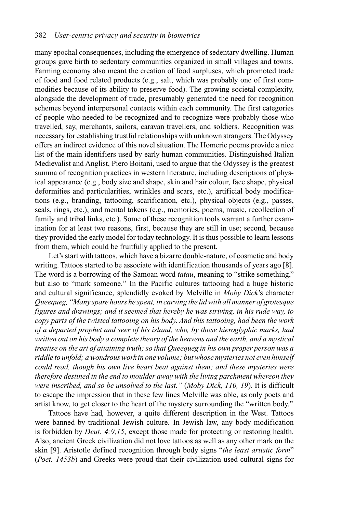many epochal consequences, including the emergence of sedentary dwelling. Human groups gave birth to sedentary communities organized in small villages and towns. Farming economy also meant the creation of food surpluses, which promoted trade of food and food related products (e.g., salt, which was probably one of first commodities because of its ability to preserve food). The growing societal complexity, alongside the development of trade, presumably generated the need for recognition schemes beyond interpersonal contacts within each community. The first categories of people who needed to be recognized and to recognize were probably those who travelled, say, merchants, sailors, caravan travellers, and soldiers. Recognition was necessary for establishing trustful relationships with unknown strangers. The Odyssey offers an indirect evidence of this novel situation. The Homeric poems provide a nice list of the main identifiers used by early human communities. Distinguished Italian Medievalist and Anglist, Piero Boitani, used to argue that the Odyssey is the greatest summa of recognition practices in western literature, including descriptions of physical appearance (e.g., body size and shape, skin and hair colour, face shape, physical deformities and particularities, wrinkles and scars, etc.), artificial body modifications (e.g., branding, tattooing, scarification, etc.), physical objects (e.g., passes, seals, rings, etc.), and mental tokens (e.g., memories, poems, music, recollection of family and tribal links, etc.). Some of these recognition tools warrant a further examination for at least two reasons, first, because they are still in use; second, because they provided the early model for today technology. It is thus possible to learn lessons from them, which could be fruitfully applied to the present.

Let's start with tattoos, which have a bizarre double-nature, of cosmetic and body writing. Tattoos started to be associate with identification thousands of years ago [8]. The word is a borrowing of the Samoan word *tatau*, meaning to "strike something," but also to "mark someone." In the Pacific cultures tattooing had a huge historic and cultural significance, splendidly evoked by Melville in *Moby Dick*'s character *Queequeg, "Many spare hours he spent, in carving the lid with all manner of grotesque figures and drawings; and it seemed that hereby he was striving, in his rude way, to copy parts of the twisted tattooing on his body. And this tattooing, had been the work of a departed prophet and seer of his island, who, by those hieroglyphic marks, had written out on his body a complete theory of the heavens and the earth, and a mystical treatise on the art of attaining truth; so that Queequeg in his own proper person was a riddle to unfold; a wondrous work in one volume; but whose mysteries not even himself could read, though his own live heart beat against them; and these mysteries were therefore destined in the end to moulder away with the living parchment whereon they were inscribed, and so be unsolved to the last."* (*Moby Dick, 110, 19*). It is difficult to escape the impression that in these few lines Melville was able, as only poets and artist know, to get closer to the heart of the mystery surrounding the "written body."

Tattoos have had, however, a quite different description in the West. Tattoos were banned by traditional Jewish culture. In Jewish law, any body modification is forbidden by *Deut. 4:9,15*, except those made for protecting or restoring health. Also, ancient Greek civilization did not love tattoos as well as any other mark on the skin [9]. Aristotle defined recognition through body signs "*the least artistic form*" (*Poet. 1453b*) and Greeks were proud that their civilization used cultural signs for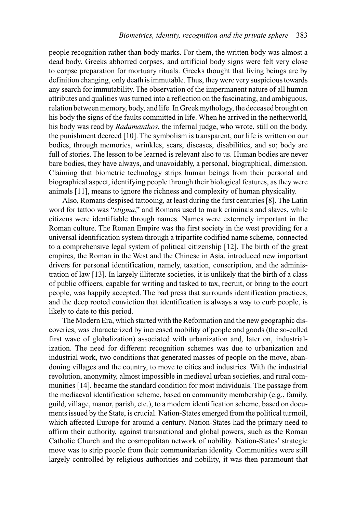people recognition rather than body marks. For them, the written body was almost a dead body. Greeks abhorred corpses, and artificial body signs were felt very close to corpse preparation for mortuary rituals. Greeks thought that living beings are by definition changing, only death is immutable. Thus, they were very suspicious towards any search for immutability. The observation of the impermanent nature of all human attributes and qualities was turned into a reflection on the fascinating, and ambiguous, relation between memory, body, and life. In Greek mythology, the deceased brought on his body the signs of the faults committed in life. When he arrived in the netherworld, his body was read by *Radamanthos*, the infernal judge, who wrote, still on the body, the punishment decreed [10]. The symbolism is transparent, our life is written on our bodies, through memories, wrinkles, scars, diseases, disabilities, and so; body are full of stories. The lesson to be learned is relevant also to us. Human bodies are never bare bodies, they have always, and unavoidably, a personal, biographical, dimension. Claiming that biometric technology strips human beings from their personal and biographical aspect, identifying people through their biological features, as they were animals [11], means to ignore the richness and complexity of human physicality.

Also, Romans despised tattooing, at least during the first centuries [8]. The Latin word for tattoo was "*stigma*," and Romans used to mark criminals and slaves, while citizens were identifiable through names. Names were extermely important in the Roman culture. The Roman Empire was the first society in the west providing for a universal identification system through a tripartite codified name scheme, connected to a comprehensive legal system of political citizenship [12]. The birth of the great empires, the Roman in the West and the Chinese in Asia, introduced new important drivers for personal identification, namely, taxation, conscription, and the administration of law [13]. In largely illiterate societies, it is unlikely that the birth of a class of public officers, capable for writing and tasked to tax, recruit, or bring to the court people, was happily accepted. The bad press that surrounds identification practices, and the deep rooted conviction that identification is always a way to curb people, is likely to date to this period.

The Modern Era, which started with the Reformation and the new geographic discoveries, was characterized by increased mobility of people and goods (the so-called first wave of globalization) associated with urbanization and, later on, industrialization. The need for different recognition schemes was due to urbanization and industrial work, two conditions that generated masses of people on the move, abandoning villages and the country, to move to cities and industries. With the industrial revolution, anonymity, almost impossible in medieval urban societies, and rural communities [14], became the standard condition for most individuals. The passage from the mediaeval identification scheme, based on community membership (e.g., family, guild, village, manor, parish, etc.), to a modern identification scheme, based on documents issued by the State, is crucial. Nation-States emerged from the political turmoil, which affected Europe for around a century. Nation-States had the primary need to affirm their authority, against transnational and global powers, such as the Roman Catholic Church and the cosmopolitan network of nobility. Nation-States' strategic move was to strip people from their communitarian identity. Communities were still largely controlled by religious authorities and nobility, it was then paramount that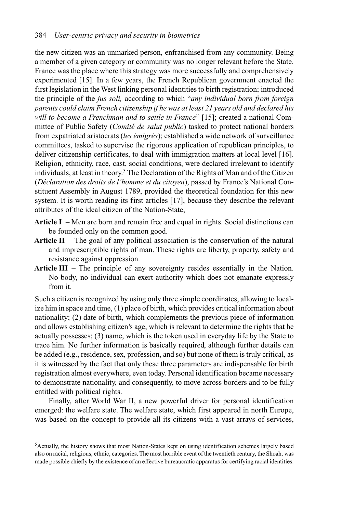the new citizen was an unmarked person, enfranchised from any community. Being a member of a given category or community was no longer relevant before the State. France was the place where this strategy was more successfully and comprehensively experimented [15]. In a few years, the French Republican government enacted the first legislation in the West linking personal identities to birth registration; introduced the principle of the *jus soli,* according to which "*any individual born from foreign parents could claim French citizenship if he was at least 21 years old and declared his will to become a Frenchman and to settle in France*" [15]; created a national Committee of Public Safety (*Comité de salut public*) tasked to protect national borders from expatriated aristocrats (*les émigrés*); established a wide network of surveillance committees, tasked to supervise the rigorous application of republican principles, to deliver citizenship certificates, to deal with immigration matters at local level [16]. Religion, ethnicity, race, cast, social conditions, were declared irrelevant to identify individuals, at least in theory.<sup>5</sup> The Declaration of the Rights of Man and of the Citizen (*Déclaration des droits de l'homme et du citoyen*), passed by France's National Constituent Assembly in August 1789, provided the theoretical foundation for this new system. It is worth reading its first articles [17], because they describe the relevant attributes of the ideal citizen of the Nation-State,

- **Article I** Men are born and remain free and equal in rights. Social distinctions can be founded only on the common good.
- **Article II** The goal of any political association is the conservation of the natural and imprescriptible rights of man. These rights are liberty, property, safety and resistance against oppression.
- **Article III** The principle of any sovereignty resides essentially in the Nation. No body, no individual can exert authority which does not emanate expressly from it.

Such a citizen is recognized by using only three simple coordinates, allowing to localize him in space and time, (1) place of birth, which provides critical information about nationality; (2) date of birth, which complements the previous piece of information and allows establishing citizen's age, which is relevant to determine the rights that he actually possesses; (3) name, which is the token used in everyday life by the State to trace him. No further information is basically required, although further details can be added (e.g., residence, sex, profession, and so) but none of them is truly critical, as it is witnessed by the fact that only these three parameters are indispensable for birth registration almost everywhere, even today. Personal identification became necessary to demonstrate nationality, and consequently, to move across borders and to be fully entitled with political rights.

Finally, after World War II, a new powerful driver for personal identification emerged: the welfare state. The welfare state, which first appeared in north Europe, was based on the concept to provide all its citizens with a vast arrays of services,

<sup>5</sup> Actually, the history shows that most Nation-States kept on using identification schemes largely based also on racial, religious, ethnic, categories. The most horrible event of the twentieth century, the Shoah, was made possible chiefly by the existence of an effective bureaucratic apparatus for certifying racial identities.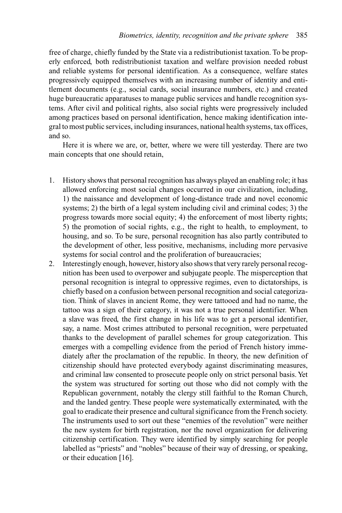free of charge, chiefly funded by the State via a redistributionist taxation. To be properly enforced, both redistributionist taxation and welfare provision needed robust and reliable systems for personal identification. As a consequence, welfare states progressively equipped themselves with an increasing number of identity and entitlement documents (e.g., social cards, social insurance numbers, etc.) and created huge bureaucratic apparatuses to manage public services and handle recognition systems. After civil and political rights, also social rights were progressively included among practices based on personal identification, hence making identification integral to most public services, including insurances, national health systems, tax offices, and so.

Here it is where we are, or, better, where we were till yesterday. There are two main concepts that one should retain,

- 1. History shows that personal recognition has always played an enabling role; it has allowed enforcing most social changes occurred in our civilization, including, 1) the naissance and development of long-distance trade and novel economic systems; 2) the birth of a legal system including civil and criminal codes; 3) the progress towards more social equity; 4) the enforcement of most liberty rights; 5) the promotion of social rights, e.g., the right to health, to employment, to housing, and so. To be sure, personal recognition has also partly contributed to the development of other, less positive, mechanisms, including more pervasive systems for social control and the proliferation of bureaucracies;
- 2. Interestingly enough, however, history also shows that very rarely personal recognition has been used to overpower and subjugate people. The misperception that personal recognition is integral to oppressive regimes, even to dictatorships, is chiefly based on a confusion between personal recognition and social categorization. Think of slaves in ancient Rome, they were tattooed and had no name, the tattoo was a sign of their category, it was not a true personal identifier. When a slave was freed, the first change in his life was to get a personal identifier, say, a name. Most crimes attributed to personal recognition, were perpetuated thanks to the development of parallel schemes for group categorization. This emerges with a compelling evidence from the period of French history immediately after the proclamation of the republic. In theory, the new definition of citizenship should have protected everybody against discriminating measures, and criminal law consented to prosecute people only on strict personal basis. Yet the system was structured for sorting out those who did not comply with the Republican government, notably the clergy still faithful to the Roman Church, and the landed gentry. These people were systematically exterminated, with the goal to eradicate their presence and cultural significance from the French society. The instruments used to sort out these "enemies of the revolution" were neither the new system for birth registration, nor the novel organization for delivering citizenship certification. They were identified by simply searching for people labelled as "priests" and "nobles" because of their way of dressing, or speaking, or their education [16].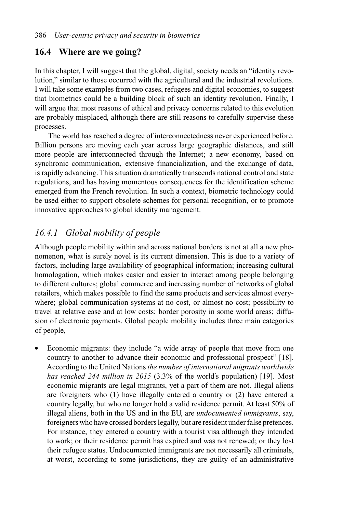## **16.4 Where are we going?**

In this chapter, I will suggest that the global, digital, society needs an "identity revolution," similar to those occurred with the agricultural and the industrial revolutions. I will take some examples from two cases, refugees and digital economies, to suggest that biometrics could be a building block of such an identity revolution. Finally, I will argue that most reasons of ethical and privacy concerns related to this evolution are probably misplaced, although there are still reasons to carefully supervise these processes.

The world has reached a degree of interconnectedness never experienced before. Billion persons are moving each year across large geographic distances, and still more people are interconnected through the Internet; a new economy, based on synchronic communication, extensive financialization, and the exchange of data, is rapidly advancing. This situation dramatically transcends national control and state regulations, and has having momentous consequences for the identification scheme emerged from the French revolution. In such a context, biometric technology could be used either to support obsolete schemes for personal recognition, or to promote innovative approaches to global identity management.

## *16.4.1 Global mobility of people*

Although people mobility within and across national borders is not at all a new phenomenon, what is surely novel is its current dimension. This is due to a variety of factors, including large availability of geographical information; increasing cultural homologation, which makes easier and easier to interact among people belonging to different cultures; global commerce and increasing number of networks of global retailers, which makes possible to find the same products and services almost everywhere; global communication systems at no cost, or almost no cost; possibility to travel at relative ease and at low costs; border porosity in some world areas; diffusion of electronic payments. Global people mobility includes three main categories of people,

Economic migrants: they include "a wide array of people that move from one country to another to advance their economic and professional prospect" [18]. According to the United Nations *the number of international migrants worldwide has reached 244 million in 2015* (3.3% of the world's population) [19]. Most economic migrants are legal migrants, yet a part of them are not. Illegal aliens are foreigners who (1) have illegally entered a country or (2) have entered a country legally, but who no longer hold a valid residence permit. At least 50% of illegal aliens, both in the US and in the EU, are *undocumented immigrants*, say, foreigners who have crossed borders legally, but are resident under false pretences. For instance, they entered a country with a tourist visa although they intended to work; or their residence permit has expired and was not renewed; or they lost their refugee status. Undocumented immigrants are not necessarily all criminals, at worst, according to some jurisdictions, they are guilty of an administrative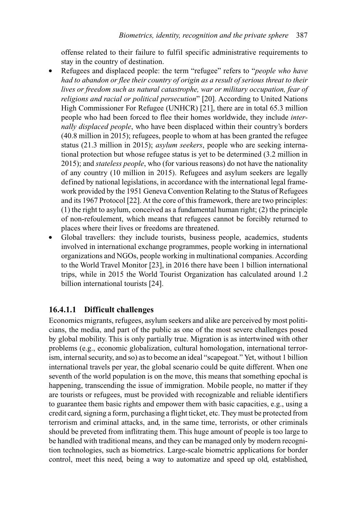offense related to their failure to fulfil specific administrative requirements to stay in the country of destination.

- Refugees and displaced people: the term "refugee" refers to "*people who have had to abandon or flee their country of origin as a result of serious threat to their lives or freedom such as natural catastrophe, war or military occupation, fear of religions and racial or political persecution*" [20]. According to United Nations High Commissioner For Refugee (UNHCR) [21], there are in total 65.3 million people who had been forced to flee their homes worldwide, they include *internally displaced people*, who have been displaced within their country's borders (40.8 million in 2015); refugees, people to whom at has been granted the refugee status (21.3 million in 2015); *asylum seekers*, people who are seeking international protection but whose refugee status is yet to be determined (3.2 million in 2015); and *stateless people*, who (for various reasons) do not have the nationality of any country (10 million in 2015). Refugees and asylum seekers are legally defined by national legislations, in accordance with the international legal framework provided by the 1951 Geneva Convention Relating to the Status of Refugees and its 1967 Protocol [22]. At the core of this framework, there are two principles: (1) the right to asylum, conceived as a fundamental human right; (2) the principle of non-refoulement, which means that refugees cannot be forcibly returned to places where their lives or freedoms are threatened.
- Global travellers: they include tourists, business people, academics, students involved in international exchange programmes, people working in international organizations and NGOs, people working in multinational companies. According to the World Travel Monitor [23], in 2016 there have been 1 billion international trips, while in 2015 the World Tourist Organization has calculated around 1.2 billion international tourists [24].

#### **16.4.1.1 Difficult challenges**

Economics migrants, refugees, asylum seekers and alike are perceived by most politicians, the media, and part of the public as one of the most severe challenges posed by global mobility. This is only partially true. Migration is as intertwined with other problems (e.g., economic globalization, cultural homologation, international terrorism, internal security, and so) as to become an ideal "scapegoat." Yet, without 1 billion international travels per year, the global scenario could be quite different. When one seventh of the world population is on the move, this means that something epochal is happening, transcending the issue of immigration. Mobile people, no matter if they are tourists or refugees, must be provided with recognizable and reliable identifiers to guarantee them basic rights and empower them with basic capacities, e.g., using a credit card, signing a form, purchasing a flight ticket, etc. They must be protected from terrorism and criminal attacks, and, in the same time, terrorists, or other criminals should be preveted from inflitrating them. This huge amount of people is too large to be handled with traditional means, and they can be managed only by modern recognition technologies, such as biometrics. Large-scale biometric applications for border control, meet this need, being a way to automatize and speed up old, established,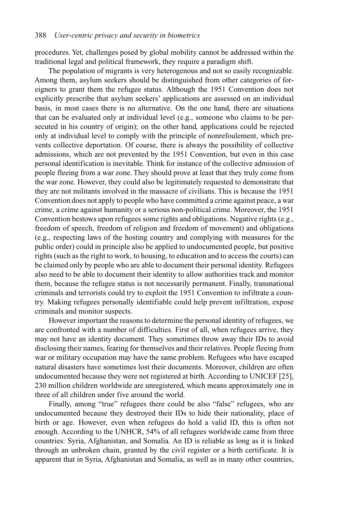procedures. Yet, challenges posed by global mobility cannot be addressed within the traditional legal and political framework, they require a paradigm shift.

The population of migrants is very heterogenous and not so easily recognizable. Among them, asylum seekers should be distinguished from other categories of foreigners to grant them the refugee status. Although the 1951 Convention does not explicitly prescribe that asylum seekers' applications are assessed on an individual basis, in most cases there is no alternative. On the one hand, there are situations that can be evaluated only at individual level (e.g., someone who claims to be persecuted in his country of origin); on the other hand, applications could be rejected only at individual level to comply with the principle of nonrefoulement, which prevents collective deportation. Of course, there is always the possibility of collective admissions, which are not prevented by the 1951 Convention, but even in this case personal identification is inevitable. Think for instance of the collective admission of people fleeing from a war zone. They should prove at least that they truly come from the war zone. However, they could also be legitimately requested to demonstrate that they are not militants involved in the massacre of civilians. This is because the 1951 Convention does not apply to people who have committed a crime against peace, a war crime, a crime against humanity or a serious non-political crime. Moreover, the 1951 Convention bestows upon refugees some rights and obligations. Negative rights (e.g., freedom of speech, freedom of religion and freedom of movement) and obligations (e.g., respecting laws of the hosting country and complying with measures for the public order) could in principle also be applied to undocumented people, but positive rights (such as the right to work, to housing, to education and to access the courts) can be claimed only by people who are able to document their personal identity. Refugees also need to be able to document their identity to allow authorities track and monitor them, because the refugee status is not necessarily permanent. Finally, transnational criminals and terrorists could try to exploit the 1951 Convention to infiltrate a country. Making refugees personally identifiable could help prevent infiltration, expose criminals and monitor suspects.

However important the reasons to determine the personal identity of refugees, we are confronted with a number of difficulties. First of all, when refugees arrive, they may not have an identity document. They sometimes throw away their IDs to avoid disclosing their names, fearing for themselves and their relatives. People fleeing from war or military occupation may have the same problem. Refugees who have escaped natural disasters have sometimes lost their documents. Moreover, children are often undocumented because they were not registered at birth. According to UNICEF [25], 230 million children worldwide are unregistered, which means approximately one in three of all children under five around the world.

Finally, among "true" refugees there could be also "false" refugees, who are undocumented because they destroyed their IDs to hide their nationality, place of birth or age. However, even when refugees do hold a valid ID, this is often not enough. According to the UNHCR, 54% of all refugees worldwide came from three countries: Syria, Afghanistan, and Somalia. An ID is reliable as long as it is linked through an unbroken chain, granted by the civil register or a birth certificate. It is apparent that in Syria, Afghanistan and Somalia, as well as in many other countries,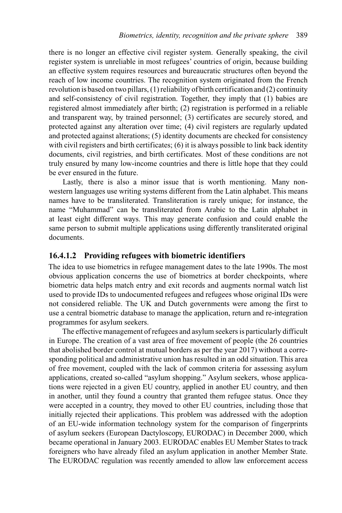there is no longer an effective civil register system. Generally speaking, the civil register system is unreliable in most refugees' countries of origin, because building an effective system requires resources and bureaucratic structures often beyond the reach of low income countries. The recognition system originated from the French revolution is based on two pillars, (1) reliability of birth certification and (2) continuity and self-consistency of civil registration. Together, they imply that (1) babies are registered almost immediately after birth; (2) registration is performed in a reliable and transparent way, by trained personnel; (3) certificates are securely stored, and protected against any alteration over time; (4) civil registers are regularly updated and protected against alterations; (5) identity documents are checked for consistency with civil registers and birth certificates; (6) it is always possible to link back identity documents, civil registries, and birth certificates. Most of these conditions are not truly ensured by many low-income countries and there is little hope that they could be ever ensured in the future.

Lastly, there is also a minor issue that is worth mentioning. Many nonwestern languages use writing systems different from the Latin alphabet. This means names have to be transliterated. Transliteration is rarely unique; for instance, the name "Muhammad" can be transliterated from Arabic to the Latin alphabet in at least eight different ways. This may generate confusion and could enable the same person to submit multiple applications using differently transliterated original documents.

#### **16.4.1.2 Providing refugees with biometric identifiers**

The idea to use biometrics in refugee management dates to the late 1990s. The most obvious application concerns the use of biometrics at border checkpoints, where biometric data helps match entry and exit records and augments normal watch list used to provide IDs to undocumented refugees and refugees whose original IDs were not considered reliable. The UK and Dutch governments were among the first to use a central biometric database to manage the application, return and re-integration programmes for asylum seekers.

The effective management of refugees and asylum seekers is particularly difficult in Europe. The creation of a vast area of free movement of people (the 26 countries that abolished border control at mutual borders as per the year 2017) without a corresponding political and administrative union has resulted in an odd situation. This area of free movement, coupled with the lack of common criteria for assessing asylum applications, created so-called "asylum shopping." Asylum seekers, whose applications were rejected in a given EU country, applied in another EU country, and then in another, until they found a country that granted them refugee status. Once they were accepted in a country, they moved to other EU countries, including those that initially rejected their applications. This problem was addressed with the adoption of an EU-wide information technology system for the comparison of fingerprints of asylum seekers (European Dactyloscopy, EURODAC) in December 2000, which became operational in January 2003. EURODAC enables EU Member States to track foreigners who have already filed an asylum application in another Member State. The EURODAC regulation was recently amended to allow law enforcement access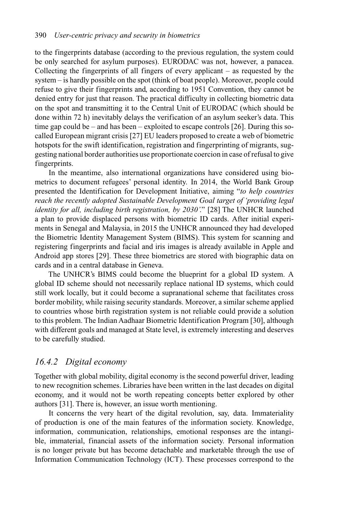to the fingerprints database (according to the previous regulation, the system could be only searched for asylum purposes). EURODAC was not, however, a panacea. Collecting the fingerprints of all fingers of every applicant – as requested by the system – is hardly possible on the spot (think of boat people). Moreover, people could refuse to give their fingerprints and, according to 1951 Convention, they cannot be denied entry for just that reason. The practical difficulty in collecting biometric data on the spot and transmitting it to the Central Unit of EURODAC (which should be done within 72 h) inevitably delays the verification of an asylum seeker's data. This time gap could be – and has been – exploited to escape controls [26]. During this socalled European migrant crisis [27] EU leaders proposed to create a web of biometric hotspots for the swift identification, registration and fingerprinting of migrants, suggesting national border authorities use proportionate coercion in case of refusal to give fingerprints.

In the meantime, also international organizations have considered using biometrics to document refugees' personal identity. In 2014, the World Bank Group presented the Identification for Development Initiative, aiming "*to help countries reach the recently adopted Sustainable Development Goal target of 'providing legal identity for all, including birth registration, by 2030'*." [28] The UNHCR launched a plan to provide displaced persons with biometric ID cards. After initial experiments in Senegal and Malaysia, in 2015 the UNHCR announced they had developed the Biometric Identity Management System (BIMS). This system for scanning and registering fingerprints and facial and iris images is already available in Apple and Android app stores [29]. These three biometrics are stored with biographic data on cards and in a central database in Geneva.

The UNHCR's BIMS could become the blueprint for a global ID system. A global ID scheme should not necessarily replace national ID systems, which could still work locally, but it could become a supranational scheme that facilitates cross border mobility, while raising security standards. Moreover, a similar scheme applied to countries whose birth registration system is not reliable could provide a solution to this problem. The Indian Aadhaar Biometric Identification Program [30], although with different goals and managed at State level, is extremely interesting and deserves to be carefully studied.

#### *16.4.2 Digital economy*

Together with global mobility, digital economy is the second powerful driver, leading to new recognition schemes. Libraries have been written in the last decades on digital economy, and it would not be worth repeating concepts better explored by other authors [31]. There is, however, an issue worth mentioning.

It concerns the very heart of the digital revolution, say, data. Immateriality of production is one of the main features of the information society. Knowledge, information, communication, relationships, emotional responses are the intangible, immaterial, financial assets of the information society. Personal information is no longer private but has become detachable and marketable through the use of Information Communication Technology (ICT). These processes correspond to the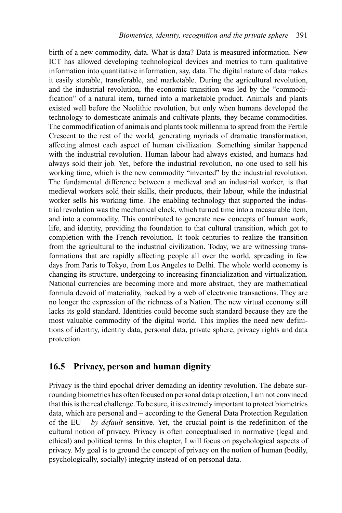birth of a new commodity, data. What is data? Data is measured information. New ICT has allowed developing technological devices and metrics to turn qualitative information into quantitative information, say, data. The digital nature of data makes it easily storable, transferable, and marketable. During the agricultural revolution, and the industrial revolution, the economic transition was led by the "commodification" of a natural item, turned into a marketable product. Animals and plants existed well before the Neolithic revolution, but only when humans developed the technology to domesticate animals and cultivate plants, they became commodities. The commodification of animals and plants took millennia to spread from the Fertile Crescent to the rest of the world, generating myriads of dramatic transformation, affecting almost each aspect of human civilization. Something similar happened with the industrial revolution. Human labour had always existed, and humans had always sold their job. Yet, before the industrial revolution, no one used to sell his working time, which is the new commodity "invented" by the industrial revolution. The fundamental difference between a medieval and an industrial worker, is that medieval workers sold their skills, their products, their labour, while the industrial worker sells his working time. The enabling technology that supported the industrial revolution was the mechanical clock, which turned time into a measurable item, and into a commodity. This contributed to generate new concepts of human work, life, and identity, providing the foundation to that cultural transition, which got to completion with the French revolution. It took centuries to realize the transition from the agricultural to the industrial civilization. Today, we are witnessing transformations that are rapidly affecting people all over the world, spreading in few days from Paris to Tokyo, from Los Angeles to Delhi. The whole world economy is changing its structure, undergoing to increasing financialization and virtualization. National currencies are becoming more and more abstract, they are mathematical formula devoid of materiality, backed by a web of electronic transactions. They are no longer the expression of the richness of a Nation. The new virtual economy still lacks its gold standard. Identities could become such standard because they are the most valuable commodity of the digital world. This implies the need new definitions of identity, identity data, personal data, private sphere, privacy rights and data protection.

## **16.5 Privacy, person and human dignity**

Privacy is the third epochal driver demading an identity revolution. The debate surrounding biometrics has often focused on personal data protection, I am not convinced that this is the real challenge. To be sure, it is extremely important to protect biometrics data, which are personal and – according to the General Data Protection Regulation of the EU – *by default* sensitive. Yet, the crucial point is the redefinition of the cultural notion of privacy. Privacy is often conceptualised in normative (legal and ethical) and political terms. In this chapter, I will focus on psychological aspects of privacy. My goal is to ground the concept of privacy on the notion of human (bodily, psychologically, socially) integrity instead of on personal data.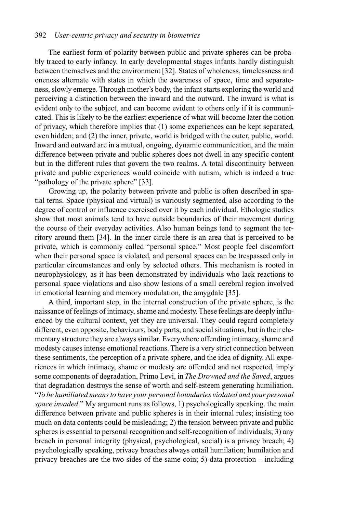#### 392 *User-centric privacy and security in biometrics*

The earliest form of polarity between public and private spheres can be probably traced to early infancy. In early developmental stages infants hardly distinguish between themselves and the environment [32]. States of wholeness, timelessness and oneness alternate with states in which the awareness of space, time and separateness, slowly emerge. Through mother's body, the infant starts exploring the world and perceiving a distinction between the inward and the outward. The inward is what is evident only to the subject, and can become evident to others only if it is communicated. This is likely to be the earliest experience of what will become later the notion of privacy, which therefore implies that (1) some experiences can be kept separated, even hidden; and (2) the inner, private, world is bridged with the outer, public, world. Inward and outward are in a mutual, ongoing, dynamic communication, and the main difference between private and public spheres does not dwell in any specific content but in the different rules that govern the two realms. A total discontinuity between private and public experiences would coincide with autism, which is indeed a true "pathology of the private sphere" [33].

Growing up, the polarity between private and public is often described in spatial terns. Space (physical and virtual) is variously segmented, also according to the degree of control or influence exercised over it by each individual. Ethologic studies show that most animals tend to have outside boundaries of their movement during the course of their everyday activities. Also human beings tend to segment the territory around them [34]. In the inner circle there is an area that is perceived to be private, which is commonly called "personal space." Most people feel discomfort when their personal space is violated, and personal spaces can be trespassed only in particular circumstances and only by selected others. This mechanism is rooted in neurophysiology, as it has been demonstrated by individuals who lack reactions to personal space violations and also show lesions of a small cerebral region involved in emotional learning and memory modulation, the amygdale [35].

A third, important step, in the internal construction of the private sphere, is the naissance of feelings of intimacy, shame and modesty. These feelings are deeply influenced by the cultural context, yet they are universal. They could regard completely different, even opposite, behaviours, body parts, and social situations, but in their elementary structure they are always similar. Everywhere offending intimacy, shame and modesty causes intense emotional reactions. There is a very strict connection between these sentiments, the perception of a private sphere, and the idea of dignity. All experiences in which intimacy, shame or modesty are offended and not respected, imply some components of degradation, Primo Levi, in *The Drowned and the Saved*, argues that degradation destroys the sense of worth and self-esteem generating humiliation. "*To be humiliated means to have your personal boundaries violated and your personal space invaded*." My argument runs as follows, 1) psychologically speaking, the main difference between private and public spheres is in their internal rules; insisting too much on data contents could be misleading; 2) the tension between private and public spheres is essential to personal recognition and self-recognition of individuals; 3) any breach in personal integrity (physical, psychological, social) is a privacy breach; 4) psychologically speaking, privacy breaches always entail humilation; humilation and privacy breaches are the two sides of the same coin; 5) data protection – including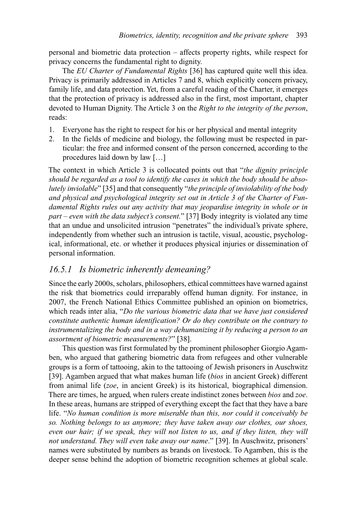personal and biometric data protection – affects property rights, while respect for privacy concerns the fundamental right to dignity.

The *EU Charter of Fundamental Rights* [36] has captured quite well this idea. Privacy is primarily addressed in Articles 7 and 8, which explicitly concern privacy, family life, and data protection. Yet, from a careful reading of the Charter, it emerges that the protection of privacy is addressed also in the first, most important, chapter devoted to Human Dignity. The Article 3 on the *Right to the integrity of the person*, reads:

- 1. Everyone has the right to respect for his or her physical and mental integrity
- 2. In the fields of medicine and biology, the following must be respected in particular: the free and informed consent of the person concerned, according to the procedures laid down by law […]

The context in which Article 3 is collocated points out that "*the dignity principle should be regarded as a tool to identify the cases in which the body should be absolutely inviolable*" [35] and that consequently "*the principle of inviolability of the body and physical and psychological integrity set out in Article 3 of the Charter of Fundamental Rights rules out any activity that may jeopardise integrity in whole or in part – even with the data subject's consent.*" [37] Body integrity is violated any time that an undue and unsolicited intrusion "penetrates" the individual's private sphere, independently from whether such an intrusion is tactile, visual, acoustic, psychological, informational, etc. or whether it produces physical injuries or dissemination of personal information.

## *16.5.1 Is biometric inherently demeaning?*

Since the early 2000s, scholars, philosophers, ethical committees have warned against the risk that biometrics could irreparably offend human dignity. For instance, in 2007, the French National Ethics Committee published an opinion on biometrics, which reads inter alia, "*Do the various biometric data that we have just considered constitute authentic human identification? Or do they contribute on the contrary to instrumentalizing the body and in a way dehumanizing it by reducing a person to an assortment of biometric measurements?*" [38].

This question was first formulated by the prominent philosopher Giorgio Agamben, who argued that gathering biometric data from refugees and other vulnerable groups is a form of tattooing, akin to the tattooing of Jewish prisoners in Auschwitz [39]. Agamben argued that what makes human life (*bios* in ancient Greek) different from animal life (*zoe*, in ancient Greek) is its historical, biographical dimension. There are times, he argued, when rulers create indistinct zones between *bios* and *zoe*. In these areas, humans are stripped of everything except the fact that they have a bare life. "*No human condition is more miserable than this, nor could it conceivably be so. Nothing belongs to us anymore; they have taken away our clothes, our shoes, even our hair; if we speak, they will not listen to us, and if they listen, they will not understand. They will even take away our name*." [39]. In Auschwitz, prisoners' names were substituted by numbers as brands on livestock. To Agamben, this is the deeper sense behind the adoption of biometric recognition schemes at global scale.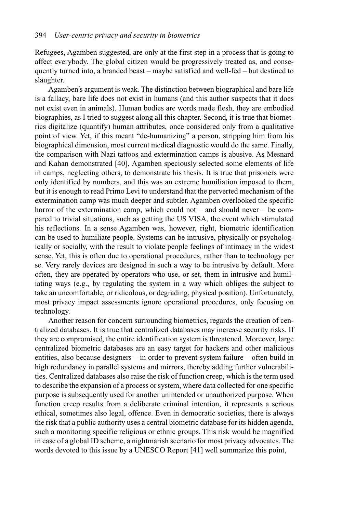Refugees, Agamben suggested, are only at the first step in a process that is going to affect everybody. The global citizen would be progressively treated as, and consequently turned into, a branded beast – maybe satisfied and well-fed – but destined to slaughter.

Agamben's argument is weak. The distinction between biographical and bare life is a fallacy, bare life does not exist in humans (and this author suspects that it does not exist even in animals). Human bodies are words made flesh, they are embodied biographies, as I tried to suggest along all this chapter. Second, it is true that biometrics digitalize (quantify) human attributes, once considered only from a qualitative point of view. Yet, if this meant "de-humanizing" a person, stripping him from his biographical dimension, most current medical diagnostic would do the same. Finally, the comparison with Nazi tattoos and extermination camps is abusive. As Mesnard and Kahan demonstrated [40], Agamben speciously selected some elements of life in camps, neglecting others, to demonstrate his thesis. It is true that prisoners were only identified by numbers, and this was an extreme humiliation imposed to them, but it is enough to read Primo Levi to understand that the perverted mechanism of the extermination camp was much deeper and subtler. Agamben overlooked the specific horror of the extermination camp, which could not  $-$  and should never  $-$  be compared to trivial situations, such as getting the US VISA, the event which stimulated his reflections. In a sense Agamben was, however, right, biometric identification can be used to humiliate people. Systems can be intrusive, physically or psychologically or socially, with the result to violate people feelings of intimacy in the widest sense. Yet, this is often due to operational procedures, rather than to technology per se. Very rarely devices are designed in such a way to be intrusive by default. More often, they are operated by operators who use, or set, them in intrusive and humiliating ways (e.g., by regulating the system in a way which obliges the subject to take an uncomfortable, or ridicolous, or degrading, physical position). Unfortunately, most privacy impact assessments ignore operational procedures, only focusing on technology.

Another reason for concern surrounding biometrics, regards the creation of centralized databases. It is true that centralized databases may increase security risks. If they are compromised, the entire identification system is threatened. Moreover, large centralized biometric databases are an easy target for hackers and other malicious entities, also because designers – in order to prevent system failure – often build in high redundancy in parallel systems and mirrors, thereby adding further vulnerabilities. Centralized databases also raise the risk of function creep, which is the term used to describe the expansion of a process or system, where data collected for one specific purpose is subsequently used for another unintended or unauthorized purpose. When function creep results from a deliberate criminal intention, it represents a serious ethical, sometimes also legal, offence. Even in democratic societies, there is always the risk that a public authority uses a central biometric database for its hidden agenda, such a monitoring specific religious or ethnic groups. This risk would be magnified in case of a global ID scheme, a nightmarish scenario for most privacy advocates. The words devoted to this issue by a UNESCO Report [41] well summarize this point,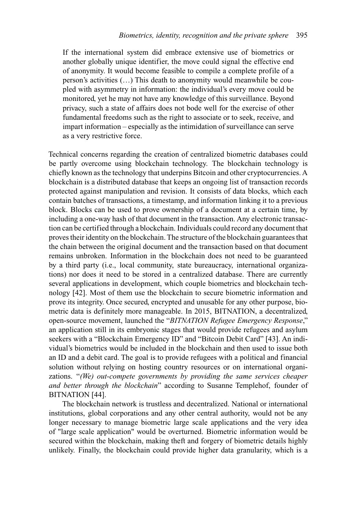If the international system did embrace extensive use of biometrics or another globally unique identifier, the move could signal the effective end of anonymity. It would become feasible to compile a complete profile of a person's activities (…) This death to anonymity would meanwhile be coupled with asymmetry in information: the individual's every move could be monitored, yet he may not have any knowledge of this surveillance. Beyond privacy, such a state of affairs does not bode well for the exercise of other fundamental freedoms such as the right to associate or to seek, receive, and impart information – especially as the intimidation of surveillance can serve as a very restrictive force.

Technical concerns regarding the creation of centralized biometric databases could be partly overcome using blockchain technology. The blockchain technology is chiefly known as the technology that underpins Bitcoin and other cryptocurrencies. A blockchain is a distributed database that keeps an ongoing list of transaction records protected against manipulation and revision. It consists of data blocks, which each contain batches of transactions, a timestamp, and information linking it to a previous block. Blocks can be used to prove ownership of a document at a certain time, by including a one-way hash of that document in the transaction. Any electronic transaction can be certified through a blockchain. Individuals could record any document that proves their identity on the blockchain. The structure of the blockchain guarantees that the chain between the original document and the transaction based on that document remains unbroken. Information in the blockchain does not need to be guaranteed by a third party (i.e., local community, state bureaucracy, international organizations) nor does it need to be stored in a centralized database. There are currently several applications in development, which couple biometrics and blockchain technology [42]. Most of them use the blockchain to secure biometric information and prove its integrity. Once secured, encrypted and unusable for any other purpose, biometric data is definitely more manageable. In 2015, BITNATION, a decentralized, open-source movement, launched the "*BITNATION Refugee Emergency Response*," an application still in its embryonic stages that would provide refugees and asylum seekers with a "Blockchain Emergency ID" and "Bitcoin Debit Card" [43]. An individual's biometrics would be included in the blockchain and then used to issue both an ID and a debit card. The goal is to provide refugees with a political and financial solution without relying on hosting country resources or on international organizations. "*(We) out-compete governments by providing the same services cheaper and better through the blockchain*" according to Susanne Templehof, founder of BITNATION [44].

The blockchain network is trustless and decentralized. National or international institutions, global corporations and any other central authority, would not be any longer necessary to manage biometric large scale applications and the very idea of "large scale application" would be overturned. Biometric information would be secured within the blockchain, making theft and forgery of biometric details highly unlikely. Finally, the blockchain could provide higher data granularity, which is a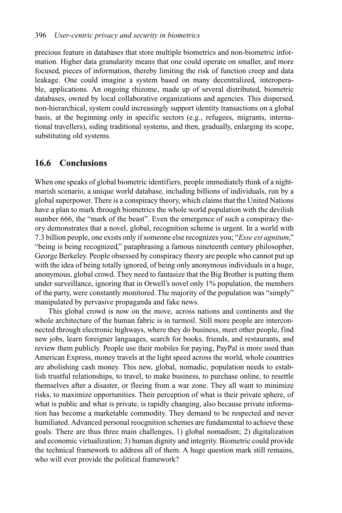precious feature in databases that store multiple biometrics and non-biometric information. Higher data granularity means that one could operate on smaller, and more focused, pieces of information, thereby limiting the risk of function creep and data leakage. One could imagine a system based on many decentralized, interoperable, applications. An ongoing rhizome, made up of several distributed, biometric databases, owned by local collaborative organizations and agencies. This dispersed, non-hierarchical, system could increasingly support identity transactions on a global basis, at the beginning only in specific sectors (e.g., refugees, migrants, international travellers), siding traditional systems, and then, gradually, enlarging its scope, substituting old systems.

#### **16.6 Conclusions**

When one speaks of global biometric identifiers, people immediately think of a nightmarish scenario, a unique world database, including billions of individuals, run by a global superpower. There is a conspiracy theory, which claims that the United Nations have a plan to mark through biometrics the whole world population with the devilish number 666, the "mark of the beast". Even the emergence of such a conspiracy theory demonstrates that a novel, global, recognition scheme is urgent. In a world with 7.3 billion people, one exists only if someone else recognizes you; "*Esse est agnitum*," "being is being recognized," paraphrasing a famous nineteenth century philosopher, George Berkeley. People obsessed by conspiracy theory are people who cannot put up with the idea of being totally ignored, of being only anonymous individuals in a huge, anonymous, global crowd. They need to fantasize that the Big Brother is putting them under surveillance, ignoring that in Orwell's novel only 1% population, the members of the party, were constantly monitored. The majority of the population was "simply" manipulated by pervasive propaganda and fake news.

This global crowd is now on the move, across nations and continents and the whole architecture of the human fabric is in turmoil. Still more people are interconnected through electronic highways, where they do business, meet other people, find new jobs, learn foreigner languages, search for books, friends, and restaurants, and review them publicly. People use their mobiles for paying, PayPal is more used than American Express, money travels at the light speed across the world, whole countries are abolishing cash money. This new, global, nomadic, population needs to establish trustful relationships, to travel, to make business, to purchase online, to resettle themselves after a disaster, or fleeing from a war zone. They all want to minimize risks, to maximize opportunities. Their perception of what is their private sphere, of what is public and what is private, is rapidly changing, also because private information has become a marketable commodity. They demand to be respected and never humiliated. Advanced personal reocgnition schemes are fundamental to achieve these goals. There are thus three main challenges, 1) global nomadism; 2) digitalization and economic virtualization; 3) human dignity and integrity. Biometric could provide the technical framework to address all of them. A huge question mark still remains, who will ever provide the political framework?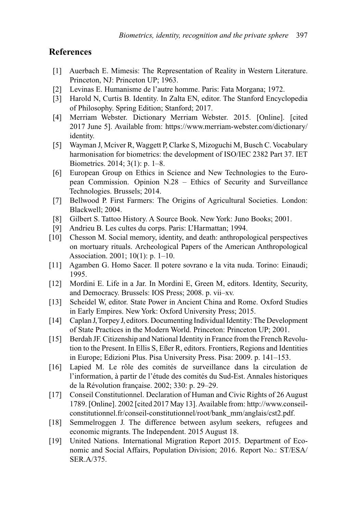#### **References**

- [1] Auerbach E. Mimesis: The Representation of Reality in Western Literature. Princeton, NJ: Princeton UP; 1963.
- [2] Levinas E. Humanisme de l'autre homme. Paris: Fata Morgana; 1972.
- [3] Harold N, Curtis B. Identity. In Zalta EN, editor. The Stanford Encyclopedia of Philosophy. Spring Edition; Stanford; 2017.
- [4] Merriam Webster. Dictionary Merriam Webster. 2015. [Online]. [cited 2017 June 5]. Available from: https://www.merriam-webster.com/dictionary/ identity.
- [5] Wayman J, Mciver R, Waggett P, Clarke S, Mizoguchi M, Busch C. Vocabulary harmonisation for biometrics: the development of ISO/IEC 2382 Part 37. IET Biometrics. 2014; 3(1): p. 1–8.
- [6] European Group on Ethics in Science and New Technologies to the European Commission. Opinion N.28 – Ethics of Security and Surveillance Technologies. Brussels; 2014.
- [7] Bellwood P. First Farmers: The Origins of Agricultural Societies. London: Blackwell; 2004.
- [8] Gilbert S. Tattoo History. A Source Book. New York: Juno Books; 2001.
- [9] Andrieu B. Les cultes du corps. Paris: L'Harmattan; 1994.
- [10] Chesson M. Social memory, identity, and death: anthropological perspectives on mortuary rituals. Archeological Papers of the American Anthropological Association. 2001; 10(1): p. 1–10.
- [11] Agamben G. Homo Sacer. Il potere sovrano e la vita nuda. Torino: Einaudi; 1995.
- [12] Mordini E. Life in a Jar. In Mordini E, Green M, editors. Identity, Security, and Democracy. Brussels: IOS Press; 2008. p. vii–xv.
- [13] Scheidel W, editor. State Power in Ancient China and Rome. Oxford Studies in Early Empires. New York: Oxford University Press; 2015.
- [14] Caplan J,Torpey J, editors. Documenting Individual Identity: The Development of State Practices in the Modern World. Princeton: Princeton UP; 2001.
- [15] Berdah JF. Citizenship and National Identity in France from the French Revolution to the Present. In Ellis S, Eßer R, editors. Frontiers, Regions and Identities in Europe; Edizioni Plus. Pisa University Press. Pisa: 2009. p. 141–153.
- [16] Lapied M. Le rôle des comités de surveillance dans la circulation de l'information, à partir de l'étude des comités du Sud-Est. Annales historiques de la Révolution française. 2002; 330: p. 29–29.
- [17] Conseil Constitutionnel. Declaration of Human and Civic Rights of 26 August 1789. [Online]. 2002 [cited 2017 May 13]. Available from: http://www.conseilconstitutionnel.fr/conseil-constitutionnel/root/bank\_mm/anglais/cst2.pdf.
- [18] Semmelroggen J. The difference between asylum seekers, refugees and economic migrants. The Independent. 2015 August 18.
- [19] United Nations. International Migration Report 2015. Department of Economic and Social Affairs, Population Division; 2016. Report No.: ST/ESA/ SER.A/375.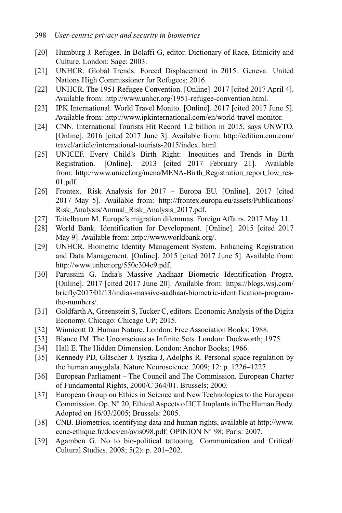- [20] Humburg J. Refugee. In Bolaffi G, editor. Dictionary of Race, Ethnicity and Culture. London: Sage; 2003.
- [21] UNHCR. Global Trends. Forced Displacement in 2015. Geneva: United Nations High Commissioner for Refugees; 2016.
- [22] UNHCR. The 1951 Refugee Convention. [Online]. 2017 [cited 2017 April 4]. Available from: http://www.unhcr.org/1951-refugee-convention.html.
- [23] IPK International. World Travel Monito. [Online]. 2017 [cited 2017 June 5]. Available from: http://www.ipkinternational.com/en/world-travel-monitor.
- [24] CNN. International Tourists Hit Record 1.2 billion in 2015, says UNWTO. [Online]. 2016 [cited 2017 June 3]. Available from: http://edition.cnn.com/ travel/article/international-tourists-2015/index. html.
- [25] UNICEF. Every Child's Birth Right: Inequities and Trends in Birth Registration. [Online]. 2013 [cited 2017 February 21]. Available from: http://www.unicef.org/mena/MENA-Birth Registration report low res-01.pdf.
- [26] Frontex. Risk Analysis for 2017 Europa EU. [Online]. 2017 [cited] 2017 May 5]. Available from: http://frontex.europa.eu/assets/Publications/ Risk\_Analysis/Annual\_Risk\_Analysis\_2017.pdf.
- [27] Teitelbaum M. Europe's migration dilemmas. Foreign Affairs. 2017 May 11.
- [28] World Bank. Identification for Development. [Online]. 2015 [cited 2017 May 9]. Available from: http://www.worldbank.org/.
- [29] UNHCR. Biometric Identity Management System. Enhancing Registration and Data Management. [Online]. 2015 [cited 2017 June 5]. Available from: http://www.unhcr.org/550c304c9.pdf.
- [30] Parussini G. India's Massive Aadhaar Biometric Identification Progra. [Online]. 2017 [cited 2017 June 20]. Available from: https://blogs.wsj.com/ briefly/2017/01/13/indias-massive-aadhaar-biometric-identification-programthe-numbers/.
- [31] Goldfarth A, Greenstein S, Tucker C, editors. Economic Analysis of the Digita Economy. Chicago: Chicago UP; 2015.
- [32] Winnicott D. Human Nature. London: Free Association Books; 1988.
- [33] Blanco IM. The Unconscious as Infinite Sets. London: Duckworth; 1975.
- [34] Hall E. The Hidden Dimension. London: Anchor Books; 1966.
- [35] Kennedy PD, Gläscher J, Tyszka J, Adolphs R. Personal space regulation by the human amygdala. Nature Neuroscience. 2009; 12: p. 1226–1227.
- [36] European Parliament The Council and The Commission. European Charter of Fundamental Rights, 2000/C 364/01. Brussels; 2000.
- [37] European Group on Ethics in Science and New Technologies to the European Commission. Op. N◦ 20, Ethical Aspects of ICT Implants in The Human Body. Adopted on 16/03/2005; Brussels: 2005.
- [38] CNB. Biometrics, identifying data and human rights, available at http://www. ccne-ethique.fr/docs/en/avis098.pdf: OPINION N◦ 98; Paris: 2007.
- [39] Agamben G. No to bio-political tattooing. Communication and Critical/ Cultural Studies. 2008; 5(2): p. 201–202.